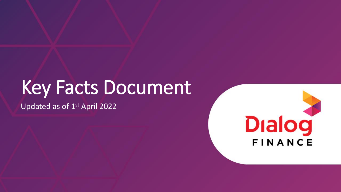# Key Facts Document

Updated as of 1<sup>st</sup> April 2022

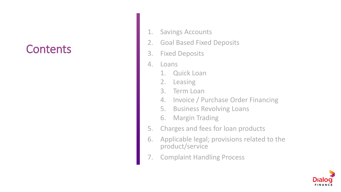#### **Contents**

- 1. Savings Accounts
- 2. Goal Based Fixed Deposits
- 3. Fixed Deposits
- 4. Loans
	- 1. Quick Loan
	- 2. Leasing
	- 3. Term Loan
	- 4. Invoice / Purchase Order Financing
	- 5. Business Revolving Loans
	- 6. Margin Trading
- 5. Charges and fees for loan products
- 6. Applicable legal; provisions related to the product/service
- **Complaint Handling Process**

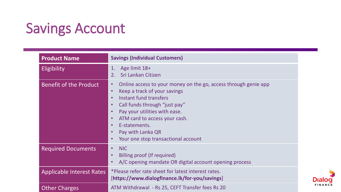## Savings Account

| <b>Product Name</b>              | <b>Savings (Individual Customers)</b>                                                                                                                                                                                                                                                                                                                                                                                                 |
|----------------------------------|---------------------------------------------------------------------------------------------------------------------------------------------------------------------------------------------------------------------------------------------------------------------------------------------------------------------------------------------------------------------------------------------------------------------------------------|
| <b>Eligibility</b>               | Age limit 18+<br>$\mathbf 1$ .<br>Sri Lankan Citizen<br>2.                                                                                                                                                                                                                                                                                                                                                                            |
| <b>Benefit of the Product</b>    | Online access to your money on the go, access through genie app<br>$\bullet$<br>Keep a track of your savings<br>$\bullet$<br><b>Instant fund transfers</b><br>$\bullet$<br>Call funds through "just pay"<br>$\bullet$<br>Pay your utilities with ease.<br>$\bullet$<br>ATM card to access your cash.<br>$\bullet$<br>E-statements.<br>$\bullet$<br>Pay with Lanka QR<br>$\bullet$<br>Your one stop transactional account<br>$\bullet$ |
| <b>Required Documents</b>        | <b>NIC</b><br>$\bullet$<br>Billing proof (If required)<br>$\bullet$<br>A/C opening mandate OR digital account opening process<br>$\bullet$                                                                                                                                                                                                                                                                                            |
| <b>Applicable Interest Rates</b> | *Please refer rate sheet for latest interest rates.<br>[https://www.dialogfinance.lk/for-you/savings]                                                                                                                                                                                                                                                                                                                                 |
| <b>Other Charges</b>             | ATM Withdrawal - Rs 25, CEFT Transfer fees Rs 20                                                                                                                                                                                                                                                                                                                                                                                      |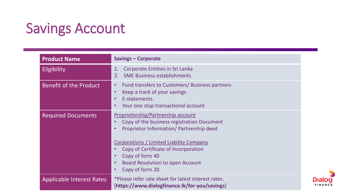## Savings Account

| <b>Product Name</b>              | <b>Savings - Corporate</b>                                                                                                                                                                                                                                                                               |
|----------------------------------|----------------------------------------------------------------------------------------------------------------------------------------------------------------------------------------------------------------------------------------------------------------------------------------------------------|
| Eligibility                      | Corporate Entities in Sri Lanka<br>1.<br><b>SME Business establishments</b>                                                                                                                                                                                                                              |
| <b>Benefit of the Product</b>    | Fund transfers to Customers/ Business partners<br>$\bullet$<br>Keep a track of your savings<br>E-statements.<br>Your one stop transactional account                                                                                                                                                      |
| <b>Required Documents</b>        | Proprietorship/Partnership account<br>Copy of the business registration Document<br>Proprietor Information/ Partnership deed<br><b>Corporations / Limited Liability Company</b><br>Copy of Certificate of Incorporation<br>Copy of form 40<br><b>Board Resolution to open Account</b><br>Copy of form 20 |
| <b>Applicable Interest Rates</b> | *Please refer rate sheet for latest interest rates.<br>[https://www.dialogfinance.lk/for-you/savings]                                                                                                                                                                                                    |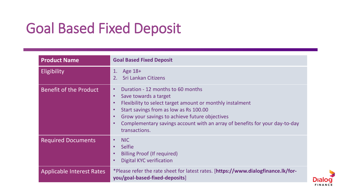## Goal Based Fixed Deposit

| <b>Product Name</b>              | <b>Goal Based Fixed Deposit</b>                                                                                                                                                                                                                                                                                                                                         |
|----------------------------------|-------------------------------------------------------------------------------------------------------------------------------------------------------------------------------------------------------------------------------------------------------------------------------------------------------------------------------------------------------------------------|
| Eligibility                      | Age 18+<br>$\mathbf{1}$ .<br><b>Sri Lankan Citizens</b><br>2.                                                                                                                                                                                                                                                                                                           |
| <b>Benefit of the Product</b>    | Duration - 12 months to 60 months<br>$\bullet$<br>Save towards a target<br>$\bullet$<br>Flexibility to select target amount or monthly instalment<br>$\bullet$<br>Start savings from as low as Rs 100.00<br>Grow your savings to achieve future objectives<br>$\bullet$<br>Complementary savings account with an array of benefits for your day-to-day<br>transactions. |
| <b>Required Documents</b>        | <b>NIC</b><br>$\bullet$<br><b>Selfie</b><br>$\bullet$<br>Billing Proof (If required)<br><b>Digital KYC verification</b>                                                                                                                                                                                                                                                 |
| <b>Applicable Interest Rates</b> | *Please refer the rate sheet for latest rates. [https://www.dialogfinance.lk/for-<br>you/goal-based-fixed-deposits]                                                                                                                                                                                                                                                     |

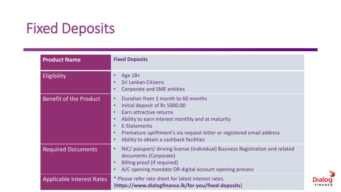## Fixed Deposits

| <b>Product Name</b>              | <b>Fixed Deposits</b>                                                                                                                                                                                                                                                                                                                                                |
|----------------------------------|----------------------------------------------------------------------------------------------------------------------------------------------------------------------------------------------------------------------------------------------------------------------------------------------------------------------------------------------------------------------|
| Eligibility                      | Age 18+<br><b>Sri Lankan Citizens</b><br><b>Corporate and SME entities</b><br>$\bullet$                                                                                                                                                                                                                                                                              |
| Benefit of the Product           | Duration from 1 month to 60 months<br>$\bullet$<br>Initial deposit of Rs 5000.00<br>$\bullet$<br>Earn attractive returns<br>$\bullet$<br>Ability to earn interest monthly and at maturity<br>$\bullet$<br>E-Statements<br>$\bullet$<br>Premature upliftment's via request letter or registered email address<br>Ability to obtain a cashback facilities<br>$\bullet$ |
| <b>Required Documents</b>        | NIC/ passport/ driving license (Individual) Business Registration and related<br>$\bullet$<br>documents (Corporate)<br>Billing proof (if required)<br>A/C opening mandate OR digital account opening process                                                                                                                                                         |
| <b>Applicable Interest Rates</b> | * Please refer rate sheet for latest interest rates.<br>[https://www.dialogfinance.lk/for-you/fixed-deposits]                                                                                                                                                                                                                                                        |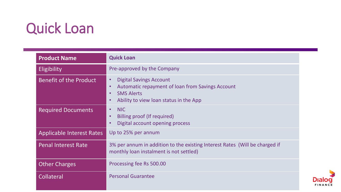## Quick Loan

| <b>Product Name</b>              | <b>Quick Loan</b>                                                                                                                                                                                     |
|----------------------------------|-------------------------------------------------------------------------------------------------------------------------------------------------------------------------------------------------------|
| <b>Eligibility</b>               | Pre-approved by the Company                                                                                                                                                                           |
| Benefit of the Product           | <b>Digital Savings Account</b><br>$\bullet$<br>Automatic repayment of loan from Savings Account<br>$\bullet$<br><b>SMS Alerts</b><br>$\bullet$<br>Ability to view loan status in the App<br>$\bullet$ |
| <b>Required Documents</b>        | <b>NIC</b><br>$\bullet$<br>Billing proof (If required)<br>$\bullet$<br>Digital account opening process<br>$\bullet$                                                                                   |
| <b>Applicable Interest Rates</b> | Up to 25% per annum                                                                                                                                                                                   |
| <b>Penal Interest Rate</b>       | 3% per annum in addition to the existing Interest Rates (Will be charged if<br>monthly loan instalment is not settled)                                                                                |
| <b>Other Charges</b>             | Processing fee Rs 500.00                                                                                                                                                                              |
| Collateral                       | <b>Personal Guarantee</b>                                                                                                                                                                             |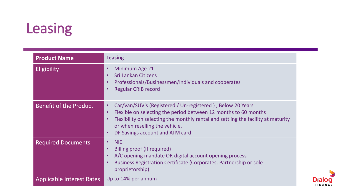## Leasing

| <b>Product Name</b>           | <b>Leasing</b>                                                                                                                                                                                                                                                                                                                              |
|-------------------------------|---------------------------------------------------------------------------------------------------------------------------------------------------------------------------------------------------------------------------------------------------------------------------------------------------------------------------------------------|
| <b>Eligibility</b>            | Minimum Age 21<br>$\bullet$<br><b>Sri Lankan Citizens</b><br>$\bullet$<br>Professionals/Businessmen/Individuals and cooperates<br>$\bullet$<br><b>Regular CRIB record</b><br>$\bullet$                                                                                                                                                      |
| <b>Benefit of the Product</b> | Car/Van/SUV's (Registered / Un-registered), Below 20 Years<br>$\bullet$<br>Flexible on selecting the period between 12 months to 60 months<br>$\bullet$<br>Flexibility on selecting the monthly rental and settling the facility at maturity<br>$\bullet$<br>or when reselling the vehicle.<br>DF Savings account and ATM card<br>$\bullet$ |
| <b>Required Documents</b>     | <b>NIC</b><br>$\bullet$<br>Billing proof (If required)<br>$\bullet$<br>A/C opening mandate OR digital account opening process<br>$\bullet$<br>Business Registration Certificate (Corporates, Partnership or sole<br>$\bullet$<br>proprietorship)                                                                                            |
| Applicable Interest Rates     | Up to 14% per annum                                                                                                                                                                                                                                                                                                                         |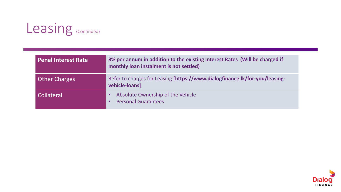

| <b>Penal Interest Rate</b> | 3% per annum in addition to the existing Interest Rates (Will be charged if<br>monthly loan instalment is not settled) |
|----------------------------|------------------------------------------------------------------------------------------------------------------------|
| <b>Other Charges</b>       | Refer to charges for Leasing [https://www.dialogfinance.lk/for-you/leasing-<br>vehicle-loans]                          |
| <b>Collateral</b>          | Absolute Ownership of the Vehicle<br><b>Personal Guarantees</b>                                                        |

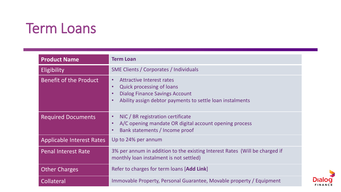### Term Loans

| <b>Product Name</b>              | <b>Term Loan</b>                                                                                                                                                                                                               |
|----------------------------------|--------------------------------------------------------------------------------------------------------------------------------------------------------------------------------------------------------------------------------|
| Eligibility                      | <b>SME Clients / Corporates / Individuals</b>                                                                                                                                                                                  |
| <b>Benefit of the Product</b>    | <b>Attractive Interest rates</b><br>$\bullet$<br><b>Quick processing of loans</b><br>$\bullet$<br><b>Dialog Finance Savings Account</b><br>$\bullet$<br>Ability assign debtor payments to settle loan instalments<br>$\bullet$ |
| <b>Required Documents</b>        | NIC / BR registration certificate<br>$\bullet$<br>A/C opening mandate OR digital account opening process<br>$\bullet$<br>Bank statements / Income proof<br>$\bullet$                                                           |
| <b>Applicable Interest Rates</b> | Up to 24% per annum                                                                                                                                                                                                            |
| <b>Penal Interest Rate</b>       | 3% per annum in addition to the existing Interest Rates (Will be charged if<br>monthly loan instalment is not settled)                                                                                                         |
| <b>Other Charges</b>             | Refer to charges for term loans [Add Link]                                                                                                                                                                                     |
| Collateral                       | Immovable Property, Personal Guarantee, Movable property / Equipment                                                                                                                                                           |

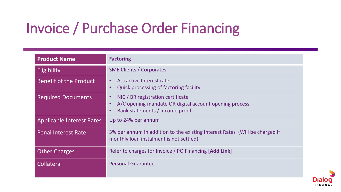## Invoice / Purchase Order Financing

| <b>Product Name</b>              | <b>Factoring</b>                                                                                                                                                     |
|----------------------------------|----------------------------------------------------------------------------------------------------------------------------------------------------------------------|
| Eligibility                      | <b>SME Clients / Corporates</b>                                                                                                                                      |
| <b>Benefit of the Product</b>    | <b>Attractive Interest rates</b><br>$\bullet$<br>Quick processing of factoring facility<br>$\bullet$                                                                 |
| <b>Required Documents</b>        | NIC / BR registration certificate<br>$\bullet$<br>A/C opening mandate OR digital account opening process<br>$\bullet$<br>Bank statements / Income proof<br>$\bullet$ |
| <b>Applicable Interest Rates</b> | Up to 24% per annum                                                                                                                                                  |
| <b>Penal Interest Rate</b>       | 3% per annum in addition to the existing Interest Rates (Will be charged if<br>monthly loan instalment is not settled)                                               |
| <b>Other Charges</b>             | Refer to charges for Invoice / PO Financing [Add Link]                                                                                                               |
| Collateral                       | <b>Personal Guarantee</b>                                                                                                                                            |

Dia FINAN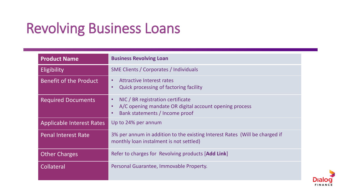## Revolving Business Loans

| <b>Product Name</b>              | <b>Business Revolving Loan</b>                                                                                                                                       |
|----------------------------------|----------------------------------------------------------------------------------------------------------------------------------------------------------------------|
| <b>Eligibility</b>               | <b>SME Clients / Corporates / Individuals</b>                                                                                                                        |
| <b>Benefit of the Product</b>    | Attractive Interest rates<br>$\bullet$<br><b>Quick processing of factoring facility</b><br>$\bullet$                                                                 |
| <b>Required Documents</b>        | NIC / BR registration certificate<br>$\bullet$<br>A/C opening mandate OR digital account opening process<br>$\bullet$<br>Bank statements / Income proof<br>$\bullet$ |
| <b>Applicable Interest Rates</b> | Up to 24% per annum                                                                                                                                                  |
| <b>Penal Interest Rate</b>       | 3% per annum in addition to the existing Interest Rates (Will be charged if<br>monthly loan instalment is not settled)                                               |
| <b>Other Charges</b>             | Refer to charges for Revolving products [Add Link]                                                                                                                   |
| Collateral                       | Personal Guarantee, Immovable Property.                                                                                                                              |

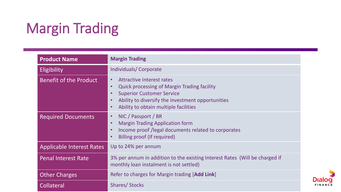## Margin Trading

| <b>Product Name</b>              | <b>Margin Trading</b>                                                                                                                                                                                                                                                                     |
|----------------------------------|-------------------------------------------------------------------------------------------------------------------------------------------------------------------------------------------------------------------------------------------------------------------------------------------|
| <b>Eligibility</b>               | <b>Individuals/Corporate</b>                                                                                                                                                                                                                                                              |
| <b>Benefit of the Product</b>    | <b>Attractive Interest rates</b><br>$\bullet$<br><b>Quick processing of Margin Trading facility</b><br>$\bullet$<br><b>Superior Customer Service</b><br>$\bullet$<br>Ability to diversify the investment opportunities<br>$\bullet$<br>Ability to obtain multiple facilities<br>$\bullet$ |
| <b>Required Documents</b>        | NIC / Passport / BR<br>$\bullet$<br><b>Margin Trading Application form</b><br>$\bullet$<br>Income proof /legal documents related to corporates<br>$\bullet$<br>Billing proof (If required)<br>$\bullet$                                                                                   |
| <b>Applicable Interest Rates</b> | Up to 24% per annum                                                                                                                                                                                                                                                                       |
| <b>Penal Interest Rate</b>       | 3% per annum in addition to the existing Interest Rates (Will be charged if<br>monthly loan instalment is not settled)                                                                                                                                                                    |
| <b>Other Charges</b>             | Refer to charges for Margin trading [Add Link]                                                                                                                                                                                                                                            |
| <b>Collateral</b>                | <b>Shares/Stocks</b>                                                                                                                                                                                                                                                                      |

**Dialo** 

FINANCE

O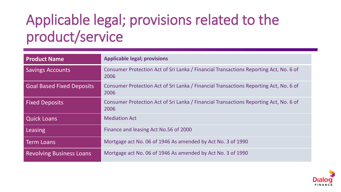## Applicable legal; provisions related to the product/service

| <b>Product Name</b>              | <b>Applicable legal; provisions</b>                                                           |
|----------------------------------|-----------------------------------------------------------------------------------------------|
| <b>Savings Accounts</b>          | Consumer Protection Act of Sri Lanka / Financial Transactions Reporting Act, No. 6 of<br>2006 |
| <b>Goal Based Fixed Deposits</b> | Consumer Protection Act of Sri Lanka / Financial Transactions Reporting Act, No. 6 of<br>2006 |
| <b>Fixed Deposits</b>            | Consumer Protection Act of Sri Lanka / Financial Transactions Reporting Act, No. 6 of<br>2006 |
| <b>Quick Loans</b>               | <b>Mediation Act</b>                                                                          |
| Leasing                          | Finance and leasing Act No.56 of 2000                                                         |
| <b>Term Loans</b>                | Mortgage act No. 06 of 1946 As amended by Act No. 3 of 1990                                   |
| <b>Revolving Business Loans</b>  | Mortgage act No. 06 of 1946 As amended by Act No. 3 of 1990                                   |

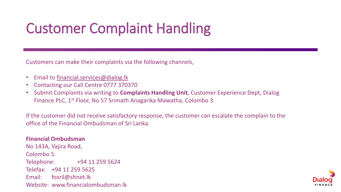## Customer Complaint Handling

Customers can make their complaints via the following channels,

- Email to [financial.services@dialog.lk](mailto:financial.services@dialog.lk)
- Contacting our Call Centre 0777 370370
- Submit Complaints via writing to **Complaints Handling Unit**, Customer Experience Dept, Dialog Finance PLC, 1st Floor, No 57 Srimath Anagarika Mawatha, Colombo 3.

If the customer did not receive satisfactory response, the customer can escalate the complain to the office of the Financial Ombudsman of Sri Lanka.

#### **Financial Ombudsman** No 143A, Vajira Road, Colombo 5. Telephone: +94 11 259 5624 Telefax: +94 11 259 5625 Email: fosril@sltnet.lk Website: www.financialombudsman.lk